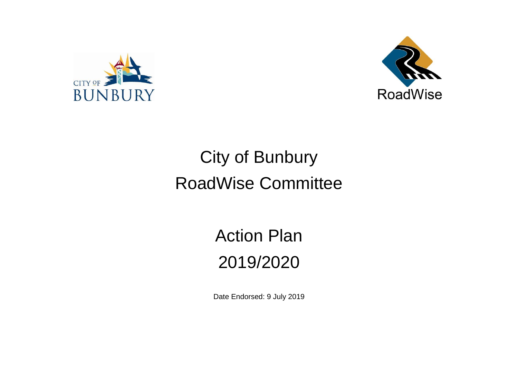



# City of Bunbury RoadWise Committee

Action Plan 2019/2020

Date Endorsed: 9 July 2019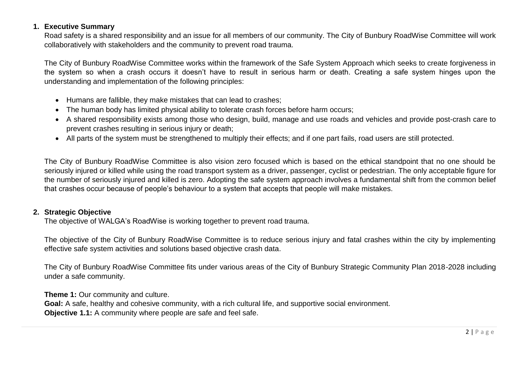#### **1. Executive Summary**

Road safety is a shared responsibility and an issue for all members of our community. The City of Bunbury RoadWise Committee will work collaboratively with stakeholders and the community to prevent road trauma.

The City of Bunbury RoadWise Committee works within the framework of the Safe System Approach which seeks to create forgiveness in the system so when a crash occurs it doesn't have to result in serious harm or death. Creating a safe system hinges upon the understanding and implementation of the following principles:

- Humans are fallible, they make mistakes that can lead to crashes;
- The human body has limited physical ability to tolerate crash forces before harm occurs;
- A shared responsibility exists among those who design, build, manage and use roads and vehicles and provide post-crash care to prevent crashes resulting in serious injury or death;
- All parts of the system must be strengthened to multiply their effects; and if one part fails, road users are still protected.

The City of Bunbury RoadWise Committee is also vision zero focused which is based on the ethical standpoint that no one should be seriously injured or killed while using the road transport system as a driver, passenger, cyclist or pedestrian. The only acceptable figure for the number of seriously injured and killed is zero. Adopting the safe system approach involves a fundamental shift from the common belief that crashes occur because of people's behaviour to a system that accepts that people will make mistakes.

## **2. Strategic Objective**

The objective of WALGA's RoadWise is working together to prevent road trauma.

The objective of the City of Bunbury RoadWise Committee is to reduce serious injury and fatal crashes within the city by implementing effective safe system activities and solutions based objective crash data.

The City of Bunbury RoadWise Committee fits under various areas of the City of Bunbury Strategic Community Plan 2018-2028 including under a safe community.

**Theme 1:** Our community and culture.

**Goal:** A safe, healthy and cohesive community, with a rich cultural life, and supportive social environment. **Objective 1.1:** A community where people are safe and feel safe.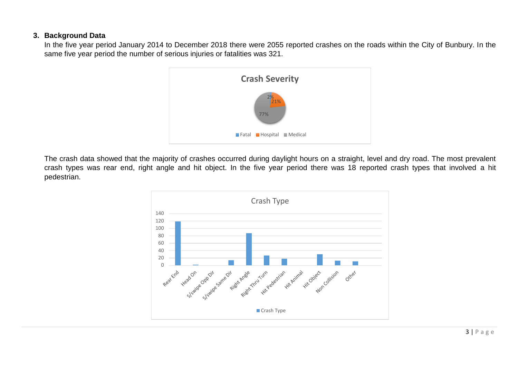### **3. Background Data**

In the five year period January 2014 to December 2018 there were 2055 reported crashes on the roads within the City of Bunbury. In the same five year period the number of serious injuries or fatalities was 321.



The crash data showed that the majority of crashes occurred during daylight hours on a straight, level and dry road. The most prevalent crash types was rear end, right angle and hit object. In the five year period there was 18 reported crash types that involved a hit pedestrian.

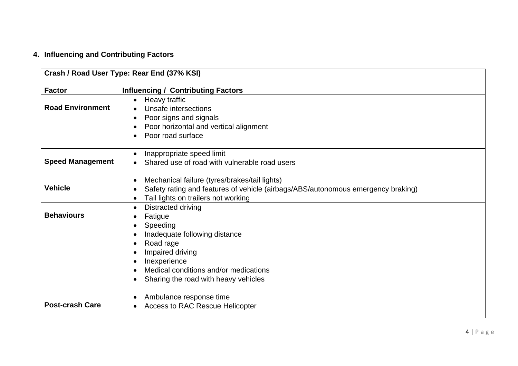## **4. Influencing and Contributing Factors**

|                         | Crash / Road User Type: Rear End (37% KSI)                                                                                                                                                                   |  |
|-------------------------|--------------------------------------------------------------------------------------------------------------------------------------------------------------------------------------------------------------|--|
| <b>Factor</b>           | <b>Influencing / Contributing Factors</b>                                                                                                                                                                    |  |
| <b>Road Environment</b> | Heavy traffic<br>Unsafe intersections<br>Poor signs and signals<br>٠<br>Poor horizontal and vertical alignment<br>Poor road surface                                                                          |  |
| <b>Speed Management</b> | Inappropriate speed limit<br>Shared use of road with vulnerable road users                                                                                                                                   |  |
| <b>Vehicle</b>          | Mechanical failure (tyres/brakes/tail lights)<br>Safety rating and features of vehicle (airbags/ABS/autonomous emergency braking)<br>Tail lights on trailers not working                                     |  |
| <b>Behaviours</b>       | Distracted driving<br>Fatigue<br>Speeding<br>Inadequate following distance<br>Road rage<br>Impaired driving<br>Inexperience<br>Medical conditions and/or medications<br>Sharing the road with heavy vehicles |  |
| <b>Post-crash Care</b>  | Ambulance response time<br><b>Access to RAC Rescue Helicopter</b>                                                                                                                                            |  |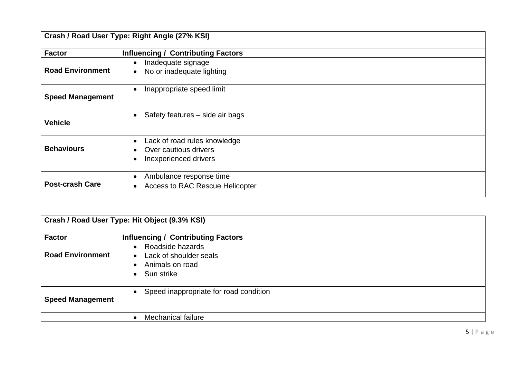| Crash / Road User Type: Right Angle (27% KSI) |                                                                                |  |
|-----------------------------------------------|--------------------------------------------------------------------------------|--|
| <b>Factor</b>                                 | <b>Influencing / Contributing Factors</b>                                      |  |
| <b>Road Environment</b>                       | Inadequate signage<br>No or inadequate lighting                                |  |
| <b>Speed Management</b>                       | Inappropriate speed limit                                                      |  |
| <b>Vehicle</b>                                | Safety features - side air bags                                                |  |
| <b>Behaviours</b>                             | Lack of road rules knowledge<br>Over cautious drivers<br>Inexperienced drivers |  |
| <b>Post-crash Care</b>                        | Ambulance response time<br><b>Access to RAC Rescue Helicopter</b>              |  |

| Crash / Road User Type: Hit Object (9.3% KSI)              |                                                                                                       |  |
|------------------------------------------------------------|-------------------------------------------------------------------------------------------------------|--|
| <b>Influencing / Contributing Factors</b><br><b>Factor</b> |                                                                                                       |  |
| <b>Road Environment</b>                                    | Roadside hazards<br>Lack of shoulder seals<br>$\bullet$<br>Animals on road<br>Sun strike<br>$\bullet$ |  |
| <b>Speed Management</b>                                    | Speed inappropriate for road condition<br>$\bullet$                                                   |  |
|                                                            | <b>Mechanical failure</b>                                                                             |  |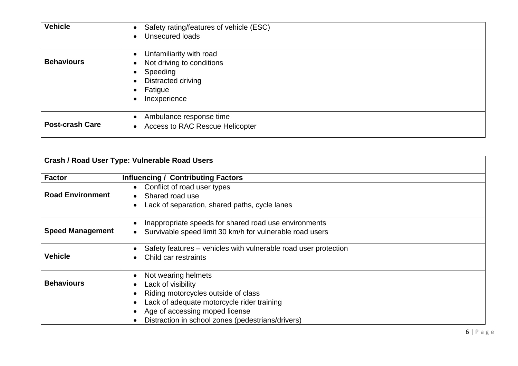| <b>Vehicle</b>         | Safety rating/features of vehicle (ESC)<br>Unsecured loads                                                        |
|------------------------|-------------------------------------------------------------------------------------------------------------------|
| <b>Behaviours</b>      | Unfamiliarity with road<br>Not driving to conditions<br>Speeding<br>Distracted driving<br>Fatigue<br>Inexperience |
| <b>Post-crash Care</b> | Ambulance response time<br>$\bullet$<br><b>Access to RAC Rescue Helicopter</b><br>$\bullet$                       |

| Crash / Road User Type: Vulnerable Road Users |                                                                                                                                                                                                                       |  |
|-----------------------------------------------|-----------------------------------------------------------------------------------------------------------------------------------------------------------------------------------------------------------------------|--|
| <b>Factor</b>                                 | <b>Influencing / Contributing Factors</b>                                                                                                                                                                             |  |
| <b>Road Environment</b>                       | Conflict of road user types<br>Shared road use<br>Lack of separation, shared paths, cycle lanes                                                                                                                       |  |
| <b>Speed Management</b>                       | Inappropriate speeds for shared road use environments<br>Survivable speed limit 30 km/h for vulnerable road users                                                                                                     |  |
| <b>Vehicle</b>                                | Safety features - vehicles with vulnerable road user protection<br>Child car restraints                                                                                                                               |  |
| <b>Behaviours</b>                             | Not wearing helmets<br>Lack of visibility<br>Riding motorcycles outside of class<br>Lack of adequate motorcycle rider training<br>Age of accessing moped license<br>Distraction in school zones (pedestrians/drivers) |  |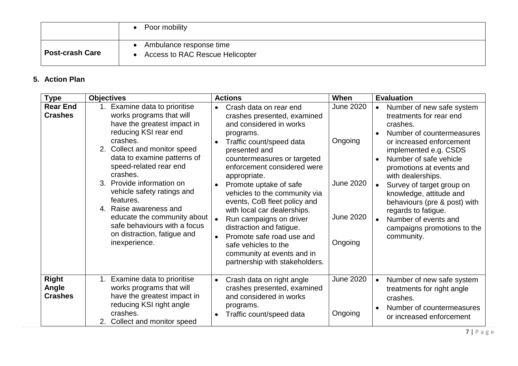|                        | Poor mobility                                                     |  |
|------------------------|-------------------------------------------------------------------|--|
| <b>Post-crash Care</b> | Ambulance response time<br><b>Access to RAC Rescue Helicopter</b> |  |

## **5. Action Plan**

| <b>Type</b>                             | <b>Objectives</b>                                                                                                                                                                                                                                                                                                                                                                                                                                   | <b>Actions</b>                                                                                                                                                                                                                                                                                                                                                                                                                                                                                                                              | <b>When</b>                                                                    | <b>Evaluation</b>                                                                                                                                                                                                                                                                                                                                                                                                 |
|-----------------------------------------|-----------------------------------------------------------------------------------------------------------------------------------------------------------------------------------------------------------------------------------------------------------------------------------------------------------------------------------------------------------------------------------------------------------------------------------------------------|---------------------------------------------------------------------------------------------------------------------------------------------------------------------------------------------------------------------------------------------------------------------------------------------------------------------------------------------------------------------------------------------------------------------------------------------------------------------------------------------------------------------------------------------|--------------------------------------------------------------------------------|-------------------------------------------------------------------------------------------------------------------------------------------------------------------------------------------------------------------------------------------------------------------------------------------------------------------------------------------------------------------------------------------------------------------|
| <b>Rear End</b><br><b>Crashes</b>       | 1. Examine data to prioritise<br>works programs that will<br>have the greatest impact in<br>reducing KSI rear end<br>crashes.<br>2. Collect and monitor speed<br>data to examine patterns of<br>speed-related rear end<br>crashes.<br>3. Provide information on<br>vehicle safety ratings and<br>features.<br>4. Raise awareness and<br>educate the community about<br>safe behaviours with a focus<br>on distraction, fatigue and<br>inexperience. | Crash data on rear end<br>crashes presented, examined<br>and considered in works<br>programs.<br>Traffic count/speed data<br>presented and<br>countermeasures or targeted<br>enforcement considered were<br>appropriate.<br>Promote uptake of safe<br>$\bullet$<br>vehicles to the community via<br>events, CoB fleet policy and<br>with local car dealerships.<br>Run campaigns on driver<br>distraction and fatigue.<br>Promote safe road use and<br>safe vehicles to the<br>community at events and in<br>partnership with stakeholders. | <b>June 2020</b><br>Ongoing<br><b>June 2020</b><br><b>June 2020</b><br>Ongoing | Number of new safe system<br>treatments for rear end<br>crashes.<br>Number of countermeasures<br>or increased enforcement<br>implemented e.g. CSDS<br>Number of safe vehicle<br>promotions at events and<br>with dealerships.<br>Survey of target group on<br>knowledge, attitude and<br>behaviours (pre & post) with<br>regards to fatigue.<br>Number of events and<br>campaigns promotions to the<br>community. |
| <b>Right</b><br>Angle<br><b>Crashes</b> | 1. Examine data to prioritise<br>works programs that will<br>have the greatest impact in<br>reducing KSI right angle<br>crashes.<br>2. Collect and monitor speed                                                                                                                                                                                                                                                                                    | Crash data on right angle<br>$\bullet$<br>crashes presented, examined<br>and considered in works<br>programs.<br>Traffic count/speed data                                                                                                                                                                                                                                                                                                                                                                                                   | <b>June 2020</b><br>Ongoing                                                    | Number of new safe system<br>$\bullet$<br>treatments for right angle<br>crashes.<br>Number of countermeasures<br>or increased enforcement                                                                                                                                                                                                                                                                         |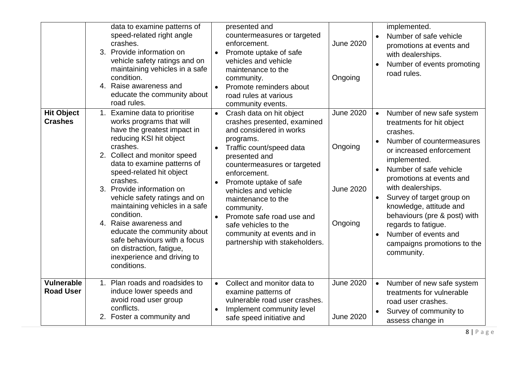|                                       | data to examine patterns of<br>speed-related right angle<br>crashes.<br>3. Provide information on<br>vehicle safety ratings and on<br>maintaining vehicles in a safe<br>condition.<br>4. Raise awareness and<br>educate the community about<br>road rules.                                                                                                                                                                                                                                                              | presented and<br>countermeasures or targeted<br>enforcement.<br>Promote uptake of safe<br>$\bullet$<br>vehicles and vehicle<br>maintenance to the<br>community.<br>Promote reminders about<br>$\bullet$<br>road rules at various<br>community events.                                                                                                                                                                                         | <b>June 2020</b><br>Ongoing                                |                        | implemented.<br>Number of safe vehicle<br>promotions at events and<br>with dealerships.<br>Number of events promoting<br>road rules.                                                                                                                                                                                                                                                                       |
|---------------------------------------|-------------------------------------------------------------------------------------------------------------------------------------------------------------------------------------------------------------------------------------------------------------------------------------------------------------------------------------------------------------------------------------------------------------------------------------------------------------------------------------------------------------------------|-----------------------------------------------------------------------------------------------------------------------------------------------------------------------------------------------------------------------------------------------------------------------------------------------------------------------------------------------------------------------------------------------------------------------------------------------|------------------------------------------------------------|------------------------|------------------------------------------------------------------------------------------------------------------------------------------------------------------------------------------------------------------------------------------------------------------------------------------------------------------------------------------------------------------------------------------------------------|
| <b>Hit Object</b><br><b>Crashes</b>   | 1. Examine data to prioritise<br>works programs that will<br>have the greatest impact in<br>reducing KSI hit object<br>crashes.<br>2. Collect and monitor speed<br>data to examine patterns of<br>speed-related hit object<br>crashes.<br>3. Provide information on<br>vehicle safety ratings and on<br>maintaining vehicles in a safe<br>condition.<br>4. Raise awareness and<br>educate the community about<br>safe behaviours with a focus<br>on distraction, fatigue,<br>inexperience and driving to<br>conditions. | Crash data on hit object<br>$\bullet$<br>crashes presented, examined<br>and considered in works<br>programs.<br>Traffic count/speed data<br>presented and<br>countermeasures or targeted<br>enforcement.<br>Promote uptake of safe<br>$\bullet$<br>vehicles and vehicle<br>maintenance to the<br>community.<br>Promote safe road use and<br>$\bullet$<br>safe vehicles to the<br>community at events and in<br>partnership with stakeholders. | <b>June 2020</b><br>Ongoing<br><b>June 2020</b><br>Ongoing | $\bullet$<br>$\bullet$ | Number of new safe system<br>treatments for hit object<br>crashes.<br>Number of countermeasures<br>or increased enforcement<br>implemented.<br>Number of safe vehicle<br>promotions at events and<br>with dealerships.<br>Survey of target group on<br>knowledge, attitude and<br>behaviours (pre & post) with<br>regards to fatigue.<br>Number of events and<br>campaigns promotions to the<br>community. |
| <b>Vulnerable</b><br><b>Road User</b> | 1. Plan roads and roadsides to<br>induce lower speeds and<br>avoid road user group<br>conflicts.<br>2. Foster a community and                                                                                                                                                                                                                                                                                                                                                                                           | Collect and monitor data to<br>$\bullet$<br>examine patterns of<br>vulnerable road user crashes.<br>Implement community level<br>$\bullet$<br>safe speed initiative and                                                                                                                                                                                                                                                                       | <b>June 2020</b><br><b>June 2020</b>                       | $\bullet$              | Number of new safe system<br>treatments for vulnerable<br>road user crashes.<br>Survey of community to<br>assess change in                                                                                                                                                                                                                                                                                 |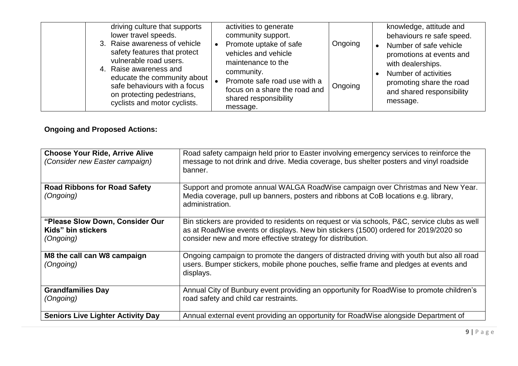| driving culture that supports<br>lower travel speeds.<br>3. Raise awareness of vehicle<br>safety features that protect<br>vulnerable road users.<br>4. Raise awareness and | activities to generate<br>community support.<br>Promote uptake of safe<br>vehicles and vehicle<br>maintenance to the | Ongoing | knowledge, attitude and<br>behaviours re safe speed.<br>Number of safe vehicle<br>promotions at events and<br>with dealerships. |
|----------------------------------------------------------------------------------------------------------------------------------------------------------------------------|----------------------------------------------------------------------------------------------------------------------|---------|---------------------------------------------------------------------------------------------------------------------------------|
| educate the community about<br>safe behaviours with a focus<br>on protecting pedestrians,<br>cyclists and motor cyclists.                                                  | community.<br>Promote safe road use with a<br>focus on a share the road and<br>shared responsibility<br>message.     | Ongoing | Number of activities<br>promoting share the road<br>and shared responsibility<br>message.                                       |

## **Ongoing and Proposed Actions:**

| <b>Choose Your Ride, Arrive Alive</b><br>(Consider new Easter campaign) | Road safety campaign held prior to Easter involving emergency services to reinforce the<br>message to not drink and drive. Media coverage, bus shelter posters and vinyl roadside<br>banner.                                                      |
|-------------------------------------------------------------------------|---------------------------------------------------------------------------------------------------------------------------------------------------------------------------------------------------------------------------------------------------|
| <b>Road Ribbons for Road Safety</b><br>(Ongoing)                        | Support and promote annual WALGA RoadWise campaign over Christmas and New Year.<br>Media coverage, pull up banners, posters and ribbons at CoB locations e.g. library,<br>administration.                                                         |
| "Please Slow Down, Consider Our<br>Kids" bin stickers<br>(Ongoing)      | Bin stickers are provided to residents on request or via schools, P&C, service clubs as well<br>as at RoadWise events or displays. New bin stickers (1500) ordered for 2019/2020 so<br>consider new and more effective strategy for distribution. |
| M8 the call can W8 campaign<br>(Ongoing)                                | Ongoing campaign to promote the dangers of distracted driving with youth but also all road<br>users. Bumper stickers, mobile phone pouches, selfie frame and pledges at events and<br>displays.                                                   |
| <b>Grandfamilies Day</b><br>(Ongoing)                                   | Annual City of Bunbury event providing an opportunity for RoadWise to promote children's<br>road safety and child car restraints.                                                                                                                 |
| <b>Seniors Live Lighter Activity Day</b>                                | Annual external event providing an opportunity for RoadWise alongside Department of                                                                                                                                                               |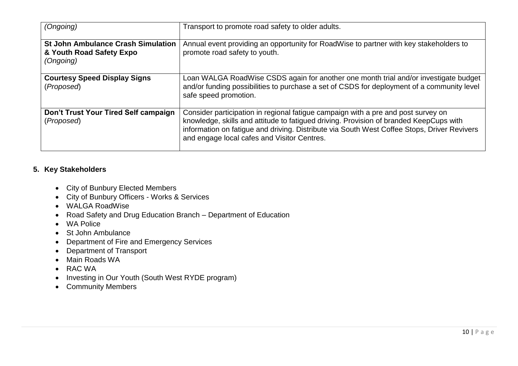| (Ongoing)                                                                          | Transport to promote road safety to older adults.                                                                                                                                                                                                                                                                         |
|------------------------------------------------------------------------------------|---------------------------------------------------------------------------------------------------------------------------------------------------------------------------------------------------------------------------------------------------------------------------------------------------------------------------|
| <b>St John Ambulance Crash Simulation</b><br>& Youth Road Safety Expo<br>(Ongoing) | Annual event providing an opportunity for RoadWise to partner with key stakeholders to<br>promote road safety to youth.                                                                                                                                                                                                   |
| <b>Courtesy Speed Display Signs</b><br>(Proposed)                                  | Loan WALGA RoadWise CSDS again for another one month trial and/or investigate budget<br>and/or funding possibilities to purchase a set of CSDS for deployment of a community level<br>safe speed promotion.                                                                                                               |
| Don't Trust Your Tired Self campaign<br>(Proposed)                                 | Consider participation in regional fatigue campaign with a pre and post survey on<br>knowledge, skills and attitude to fatigued driving. Provision of branded KeepCups with<br>information on fatigue and driving. Distribute via South West Coffee Stops, Driver Revivers<br>and engage local cafes and Visitor Centres. |

## **5. Key Stakeholders**

- City of Bunbury Elected Members
- City of Bunbury Officers Works & Services
- WALGA RoadWise
- Road Safety and Drug Education Branch Department of Education
- WA Police
- St John Ambulance
- Department of Fire and Emergency Services
- Department of Transport
- Main Roads WA
- RAC WA
- Investing in Our Youth (South West RYDE program)
- Community Members